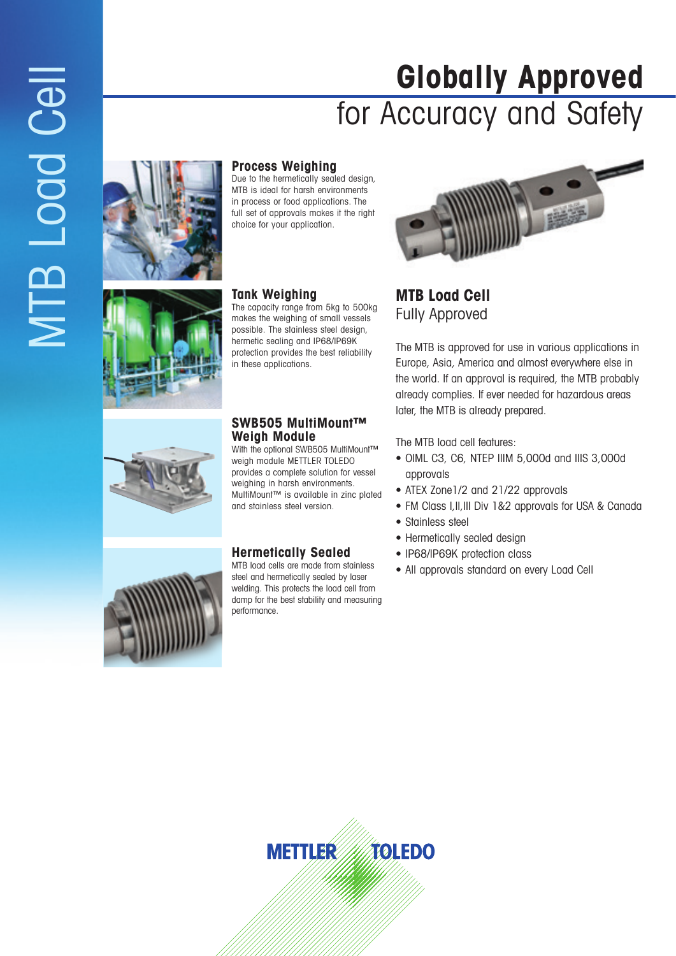# **Globally Approved** for Accuracy and Safety



#### **Process Weighing**

Due to the hermetically sealed design, MTB is ideal for harsh environments in process or food applications. The full set of approvals makes it the right choice for your application.

#### **Tank Weighing**

The capacity range from 5kg to 500kg makes the weighing of small vessels possible. The stainless steel design, hermetic sealing and IP68/IP69K protection provides the best reliability in these applications.

#### **SWB505 MultiMount™ Weigh Module**

With the optional SWB505 MultiMount™ weigh module METTLER TOLEDO provides a complete solution for vessel weighing in harsh environments. MultiMount™ is available in zinc plated and stainless steel version.

#### **Hermetically Sealed**

MTB load cells are made from stainless steel and hermetically sealed by laser welding. This protects the load cell from damp for the best stability and measuring performance.



**MTB Load Cell** Fully Approved

The MTB is approved for use in various applications in Europe, Asia, America and almost everywhere else in the world. If an approval is required, the MTB probably already complies. If ever needed for hazardous areas later, the MTB is already prepared.

- The MTB load cell features:<br>• OIML C3, C6, NTEP IIIM 5,000d and IIIS 3,000d approvals
- ATEX Zone1/2 and 21/22 approvals
- FM Class I,II,III Div 1&2 approvals for USA & Canada
- Stainless steel
- Hermetically sealed design
- IP68/IP69K protection class
- All approvals standard on every Load Cell



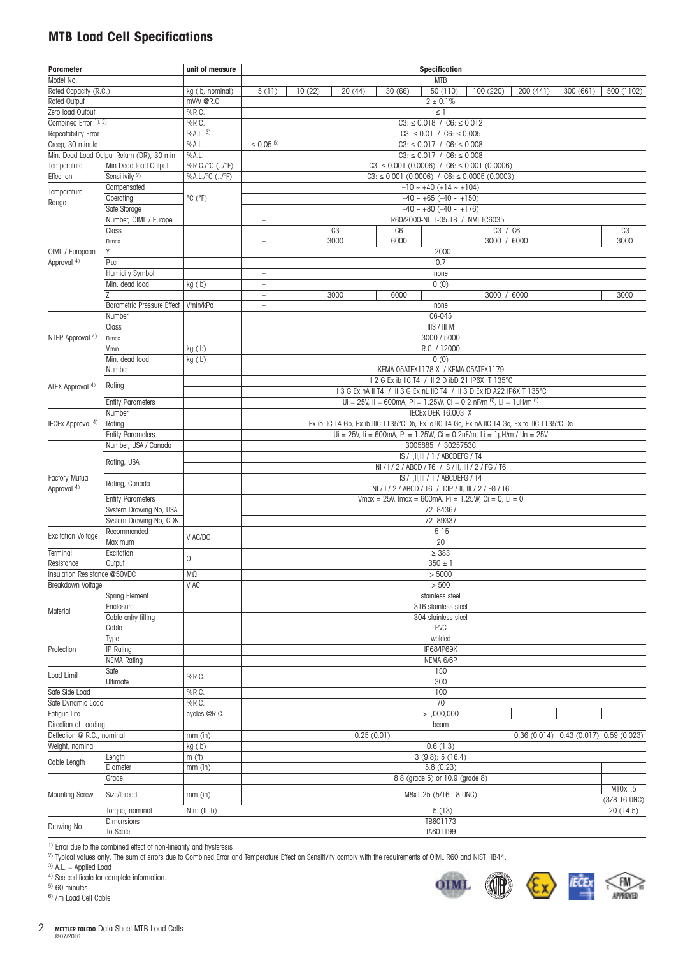#### **MTB Load Cell Specifications**

| Parameter                                 |                                           | unit of measure                          |                                                                                                                    | <b>Specification</b>                                                                                                                                                                                                                                                                                                                                                                                                               |                |                                                        |  |  |                  |  |  |  |  |
|-------------------------------------------|-------------------------------------------|------------------------------------------|--------------------------------------------------------------------------------------------------------------------|------------------------------------------------------------------------------------------------------------------------------------------------------------------------------------------------------------------------------------------------------------------------------------------------------------------------------------------------------------------------------------------------------------------------------------|----------------|--------------------------------------------------------|--|--|------------------|--|--|--|--|
| Model No.                                 |                                           |                                          | <b>MTB</b>                                                                                                         |                                                                                                                                                                                                                                                                                                                                                                                                                                    |                |                                                        |  |  |                  |  |  |  |  |
| Rated Capacity (R.C.)<br>kg (lb, nominal) |                                           |                                          | $\overline{50(110)}$<br>10(22)<br>20 (44)<br>30 (66)<br>200 (441)<br>300 (661)<br>500 (1102)<br>5(11)<br>100 (220) |                                                                                                                                                                                                                                                                                                                                                                                                                                    |                |                                                        |  |  |                  |  |  |  |  |
| Rated Output                              |                                           | mV/V @R.C.                               |                                                                                                                    |                                                                                                                                                                                                                                                                                                                                                                                                                                    |                | $2 \pm 0.1\%$                                          |  |  |                  |  |  |  |  |
| Zero load Output                          |                                           | %R.C.                                    |                                                                                                                    |                                                                                                                                                                                                                                                                                                                                                                                                                                    |                | $\leq$ 1                                               |  |  |                  |  |  |  |  |
| Combined Error 1), 2)                     |                                           | $%$ R.C.                                 |                                                                                                                    |                                                                                                                                                                                                                                                                                                                                                                                                                                    |                | $C3: \leq 0.018$ / $C6: \leq 0.012$                    |  |  |                  |  |  |  |  |
| Repeatability Error                       |                                           | $\sqrt{96A.L.3}$                         |                                                                                                                    |                                                                                                                                                                                                                                                                                                                                                                                                                                    |                | $C3: \leq 0.01$ / $C6: \leq 0.005$                     |  |  |                  |  |  |  |  |
| Creep, 30 minute                          |                                           | %AL.                                     | $\leq 0.05$ <sup>5)</sup>                                                                                          |                                                                                                                                                                                                                                                                                                                                                                                                                                    |                | $C3: \leq 0.017$ / $C6: \leq 0.008$                    |  |  |                  |  |  |  |  |
|                                           | Min. Dead Load Output Return (DR), 30 min | %AL.                                     |                                                                                                                    |                                                                                                                                                                                                                                                                                                                                                                                                                                    |                | $C3: \leq 0.017$ / $C6: \leq 0.008$                    |  |  |                  |  |  |  |  |
| Temperature                               | Min Dead load Output                      | %R.C./°C (/°F)                           |                                                                                                                    | $C3: \leq 0.001$ (0.0006) / $C6: \leq 0.001$ (0.0006)                                                                                                                                                                                                                                                                                                                                                                              |                |                                                        |  |  |                  |  |  |  |  |
| Effect on                                 | Sensitivity <sup>2)</sup>                 | $\sqrt[9]{6A.L./^{\circ}C (/^{\circ}F)}$ |                                                                                                                    |                                                                                                                                                                                                                                                                                                                                                                                                                                    |                | $C3: \leq 0.001$ (0.0006) / C6: $\leq 0.0005$ (0.0003) |  |  |                  |  |  |  |  |
|                                           | Compensated                               |                                          |                                                                                                                    |                                                                                                                                                                                                                                                                                                                                                                                                                                    |                | $-10$ ~ +40 (+14 ~ +104)                               |  |  |                  |  |  |  |  |
| Temperature                               | Operating                                 | $^{\circ}$ C ( $^{\circ}$ F)             |                                                                                                                    |                                                                                                                                                                                                                                                                                                                                                                                                                                    |                | $-40 \sim +65 (-40 \sim +150)$                         |  |  |                  |  |  |  |  |
| Range                                     | Safe Storage                              |                                          |                                                                                                                    |                                                                                                                                                                                                                                                                                                                                                                                                                                    |                | $-40 \sim +80 (-40 \sim +176)$                         |  |  |                  |  |  |  |  |
|                                           | Number, OIML / Europe                     |                                          | $\overline{\phantom{a}}$                                                                                           |                                                                                                                                                                                                                                                                                                                                                                                                                                    |                | R60/2000-NL 1-05.18 / NMi TC6035                       |  |  |                  |  |  |  |  |
|                                           | Class                                     |                                          | ÷,                                                                                                                 | C <sub>3</sub>                                                                                                                                                                                                                                                                                                                                                                                                                     | C <sub>6</sub> | C3 / C6                                                |  |  | C <sub>3</sub>   |  |  |  |  |
|                                           | n max                                     |                                          | $\qquad \qquad -$                                                                                                  | 3000                                                                                                                                                                                                                                                                                                                                                                                                                               | 6000           | 3000 / 6000                                            |  |  | 3000             |  |  |  |  |
|                                           | γ                                         |                                          |                                                                                                                    |                                                                                                                                                                                                                                                                                                                                                                                                                                    |                | 12000                                                  |  |  |                  |  |  |  |  |
| OIML / European<br>Approval 4)            | $P_{LC}$                                  |                                          | $\qquad \qquad -$                                                                                                  |                                                                                                                                                                                                                                                                                                                                                                                                                                    |                | 0.7                                                    |  |  |                  |  |  |  |  |
|                                           |                                           |                                          | $\overline{\phantom{a}}$                                                                                           |                                                                                                                                                                                                                                                                                                                                                                                                                                    |                |                                                        |  |  |                  |  |  |  |  |
|                                           | Humidity Symbol                           |                                          | $\overline{\phantom{a}}$                                                                                           |                                                                                                                                                                                                                                                                                                                                                                                                                                    |                | none                                                   |  |  |                  |  |  |  |  |
|                                           | Min. dead load                            | kg (lb)                                  | $\overline{\phantom{a}}$                                                                                           |                                                                                                                                                                                                                                                                                                                                                                                                                                    |                | 0(0)                                                   |  |  |                  |  |  |  |  |
|                                           | Z                                         |                                          | $\overline{\phantom{a}}$                                                                                           | 3000                                                                                                                                                                                                                                                                                                                                                                                                                               | 6000           | 3000 / 6000                                            |  |  | 3000             |  |  |  |  |
|                                           | <b>Barometric Pressure Effect</b>         | Vmin/kPa                                 | $\hspace{1.0cm} - \hspace{1.0cm}$                                                                                  |                                                                                                                                                                                                                                                                                                                                                                                                                                    |                | none                                                   |  |  |                  |  |  |  |  |
|                                           | Number                                    |                                          |                                                                                                                    |                                                                                                                                                                                                                                                                                                                                                                                                                                    |                | 06-045                                                 |  |  |                  |  |  |  |  |
|                                           | Class                                     |                                          |                                                                                                                    |                                                                                                                                                                                                                                                                                                                                                                                                                                    |                | IIIS / III M                                           |  |  |                  |  |  |  |  |
| NTEP Approval 4)                          | $n$ max                                   |                                          |                                                                                                                    | 3000 / 5000                                                                                                                                                                                                                                                                                                                                                                                                                        |                |                                                        |  |  |                  |  |  |  |  |
|                                           | Vmin                                      | kg (lb)                                  |                                                                                                                    |                                                                                                                                                                                                                                                                                                                                                                                                                                    |                | R.C. / 12000                                           |  |  |                  |  |  |  |  |
|                                           | Min. dead load                            | kg (lb)                                  |                                                                                                                    |                                                                                                                                                                                                                                                                                                                                                                                                                                    |                | 0(0)                                                   |  |  |                  |  |  |  |  |
|                                           | Number                                    |                                          |                                                                                                                    |                                                                                                                                                                                                                                                                                                                                                                                                                                    |                | KEMA 05ATEX1178 X / KEMA 05ATEX1179                    |  |  |                  |  |  |  |  |
|                                           | Rating                                    |                                          |                                                                                                                    |                                                                                                                                                                                                                                                                                                                                                                                                                                    |                | II 2 G Ex ib IIC T4 / II 2 D ibD 21 IP6X T 135°C       |  |  |                  |  |  |  |  |
| ATEX Approval 4)                          |                                           |                                          |                                                                                                                    |                                                                                                                                                                                                                                                                                                                                                                                                                                    |                |                                                        |  |  |                  |  |  |  |  |
|                                           | <b>Entity Parameters</b>                  |                                          |                                                                                                                    |                                                                                                                                                                                                                                                                                                                                                                                                                                    |                |                                                        |  |  |                  |  |  |  |  |
|                                           | Number                                    |                                          |                                                                                                                    |                                                                                                                                                                                                                                                                                                                                                                                                                                    |                |                                                        |  |  |                  |  |  |  |  |
| IECEx Approval 4)                         | Rating                                    |                                          | Ex ib IIC T4 Gb, Ex ib IIIC T135°C Db, Ex ic IIC T4 Gc, Ex nA IIC T4 Gc, Ex tc IIIC T135°C Dc                      |                                                                                                                                                                                                                                                                                                                                                                                                                                    |                |                                                        |  |  |                  |  |  |  |  |
|                                           | <b>Entity Parameters</b>                  |                                          |                                                                                                                    |                                                                                                                                                                                                                                                                                                                                                                                                                                    |                |                                                        |  |  |                  |  |  |  |  |
|                                           | Number, USA / Canada                      |                                          |                                                                                                                    |                                                                                                                                                                                                                                                                                                                                                                                                                                    |                |                                                        |  |  |                  |  |  |  |  |
|                                           |                                           |                                          |                                                                                                                    | II 3 G Ex nA II T4 / II 3 G Ex nL IIC T4 / II 3 D Ex tD A22 IP6X T 135°C<br>Ui = 25V, Ii = 600mA, Pi = 1.25W, Ci = 0.2 nF/m $^{6}$ ), Li = 1µH/m $^{6}$ )<br><b>IECEX DEK 16.0031X</b><br>Ui = $25V$ , Ii = 600mA, Pi = 1.25W, Ci = 0.2nF/m, Li = 1 $\mu$ H/m / Un = $25V$<br>3005885 / 3025753C<br>IS / I, II, III / 1 / ABCDEFG / T4<br>NI / I / 2 / ABCD / T6 / S / II, III / 2 / FG / T6<br>IS / I, II, III / 1 / ABCDEFG / T4 |                |                                                        |  |  |                  |  |  |  |  |
|                                           | Rating, USA                               |                                          |                                                                                                                    |                                                                                                                                                                                                                                                                                                                                                                                                                                    |                |                                                        |  |  |                  |  |  |  |  |
| Factory Mutual                            |                                           |                                          |                                                                                                                    |                                                                                                                                                                                                                                                                                                                                                                                                                                    |                |                                                        |  |  |                  |  |  |  |  |
| Approval 4)                               | Rating, Canada                            |                                          |                                                                                                                    |                                                                                                                                                                                                                                                                                                                                                                                                                                    |                | NI / I / 2 / ABCD / T6 / DIP / II, III / 2 / FG / T6   |  |  |                  |  |  |  |  |
|                                           | <b>Entity Parameters</b>                  |                                          |                                                                                                                    |                                                                                                                                                                                                                                                                                                                                                                                                                                    |                | Vmax = 25V, Imax = 600mA, Pi = 1.25W, Ci = 0, Li = 0   |  |  |                  |  |  |  |  |
|                                           | System Drawing No, USA                    |                                          |                                                                                                                    |                                                                                                                                                                                                                                                                                                                                                                                                                                    |                | 72184367                                               |  |  |                  |  |  |  |  |
|                                           | System Drawing No, CDN                    |                                          |                                                                                                                    |                                                                                                                                                                                                                                                                                                                                                                                                                                    |                | 72189337                                               |  |  |                  |  |  |  |  |
|                                           | Recommended                               |                                          |                                                                                                                    |                                                                                                                                                                                                                                                                                                                                                                                                                                    |                | $5 - 15$                                               |  |  |                  |  |  |  |  |
| <b>Excitation Voltage</b>                 | Maximum                                   | V AC/DC                                  | 20                                                                                                                 |                                                                                                                                                                                                                                                                                                                                                                                                                                    |                |                                                        |  |  |                  |  |  |  |  |
| Terminal                                  | Excitation                                |                                          | $\geq 383$                                                                                                         |                                                                                                                                                                                                                                                                                                                                                                                                                                    |                |                                                        |  |  |                  |  |  |  |  |
| Resistance                                | Output                                    | $\Omega$                                 | $350 \pm 1$                                                                                                        |                                                                                                                                                                                                                                                                                                                                                                                                                                    |                |                                                        |  |  |                  |  |  |  |  |
| Insulation Resistance @50VDC              |                                           | ΜΩ                                       |                                                                                                                    | > 5000                                                                                                                                                                                                                                                                                                                                                                                                                             |                |                                                        |  |  |                  |  |  |  |  |
| Breakdown Voltage                         |                                           | V AC                                     | > 500                                                                                                              |                                                                                                                                                                                                                                                                                                                                                                                                                                    |                |                                                        |  |  |                  |  |  |  |  |
|                                           | Spring Element                            |                                          |                                                                                                                    |                                                                                                                                                                                                                                                                                                                                                                                                                                    |                | stainless steel                                        |  |  |                  |  |  |  |  |
|                                           | Enclosure                                 |                                          | 316 stainless steel                                                                                                |                                                                                                                                                                                                                                                                                                                                                                                                                                    |                |                                                        |  |  |                  |  |  |  |  |
| Material                                  | Cable entry fitting                       |                                          |                                                                                                                    |                                                                                                                                                                                                                                                                                                                                                                                                                                    |                | 304 stainless steel                                    |  |  |                  |  |  |  |  |
|                                           | Cable                                     |                                          |                                                                                                                    |                                                                                                                                                                                                                                                                                                                                                                                                                                    |                | <b>PVC</b>                                             |  |  |                  |  |  |  |  |
|                                           | Type                                      |                                          |                                                                                                                    |                                                                                                                                                                                                                                                                                                                                                                                                                                    |                | welded                                                 |  |  |                  |  |  |  |  |
| Protection                                | IP Rating                                 |                                          |                                                                                                                    |                                                                                                                                                                                                                                                                                                                                                                                                                                    |                | IP68/IP69K                                             |  |  |                  |  |  |  |  |
|                                           | <b>NEMA Rating</b>                        |                                          |                                                                                                                    |                                                                                                                                                                                                                                                                                                                                                                                                                                    |                | NEMA 6/6P                                              |  |  |                  |  |  |  |  |
|                                           |                                           |                                          |                                                                                                                    |                                                                                                                                                                                                                                                                                                                                                                                                                                    |                | 150                                                    |  |  |                  |  |  |  |  |
| Load Limit                                | Safe                                      | %R.C.                                    |                                                                                                                    |                                                                                                                                                                                                                                                                                                                                                                                                                                    |                |                                                        |  |  |                  |  |  |  |  |
|                                           | Ultimate                                  |                                          | 300                                                                                                                |                                                                                                                                                                                                                                                                                                                                                                                                                                    |                |                                                        |  |  |                  |  |  |  |  |
| Safe Side Load                            |                                           | %R.C.                                    |                                                                                                                    |                                                                                                                                                                                                                                                                                                                                                                                                                                    |                | 100                                                    |  |  |                  |  |  |  |  |
| Safe Dynamic Load                         |                                           | $%$ R.C.                                 | 70                                                                                                                 |                                                                                                                                                                                                                                                                                                                                                                                                                                    |                |                                                        |  |  |                  |  |  |  |  |
| Fatigue Life                              |                                           | cycles @R.C.                             |                                                                                                                    |                                                                                                                                                                                                                                                                                                                                                                                                                                    |                | >1,000,000                                             |  |  |                  |  |  |  |  |
| Direction of Loading                      |                                           |                                          |                                                                                                                    |                                                                                                                                                                                                                                                                                                                                                                                                                                    |                | beam                                                   |  |  |                  |  |  |  |  |
| Deflection @ R.C., nominal                |                                           | $mm$ (in)                                | 0.25(0.01)<br>$0.36(0.014)$ $0.43(0.017)$ $0.59(0.023)$                                                            |                                                                                                                                                                                                                                                                                                                                                                                                                                    |                |                                                        |  |  |                  |  |  |  |  |
| Weight, nominal                           |                                           | kg (lb)                                  |                                                                                                                    |                                                                                                                                                                                                                                                                                                                                                                                                                                    |                | 0.6(1.3)                                               |  |  |                  |  |  |  |  |
| Cable Length                              | Length                                    | $m$ (ft)                                 | $3(9.8)$ ; $5(16.4)$                                                                                               |                                                                                                                                                                                                                                                                                                                                                                                                                                    |                |                                                        |  |  |                  |  |  |  |  |
|                                           | Diameter                                  | $mm$ (in)                                | 5.8(0.23)                                                                                                          |                                                                                                                                                                                                                                                                                                                                                                                                                                    |                |                                                        |  |  |                  |  |  |  |  |
|                                           | Grade                                     |                                          |                                                                                                                    |                                                                                                                                                                                                                                                                                                                                                                                                                                    |                | 8.8 (grade 5) or 10.9 (grade 8)                        |  |  |                  |  |  |  |  |
| <b>Mounting Screw</b>                     | Size/thread                               | $mm$ (in)                                |                                                                                                                    |                                                                                                                                                                                                                                                                                                                                                                                                                                    |                | M8x1.25 (5/16-18 UNC)                                  |  |  | M10x1.5          |  |  |  |  |
|                                           |                                           |                                          |                                                                                                                    |                                                                                                                                                                                                                                                                                                                                                                                                                                    |                |                                                        |  |  | $(3/8 - 16$ UNC) |  |  |  |  |
|                                           | Torque, nominal                           | $N.m$ (ft- $Ib$ )                        |                                                                                                                    |                                                                                                                                                                                                                                                                                                                                                                                                                                    |                | 15(13)                                                 |  |  | 20(14.5)         |  |  |  |  |
| Drawing No.                               | Dimensions                                |                                          |                                                                                                                    |                                                                                                                                                                                                                                                                                                                                                                                                                                    |                | TB601173                                               |  |  |                  |  |  |  |  |
|                                           | To-Scale                                  |                                          |                                                                                                                    |                                                                                                                                                                                                                                                                                                                                                                                                                                    |                | TA601199                                               |  |  |                  |  |  |  |  |

1) Error due to the combined effect of non-linearity and hysteresis

2) Typical values only. The sum of errors due to Combined Error and Temperature Effect on Sensitivity comply with the requirements of OIML R60 and NIST HB44.

 $3)$  A.L. = Applied Load

4) See certificate for complete information.

 $5)$  60 minutes

6) /m Load Cell Cable





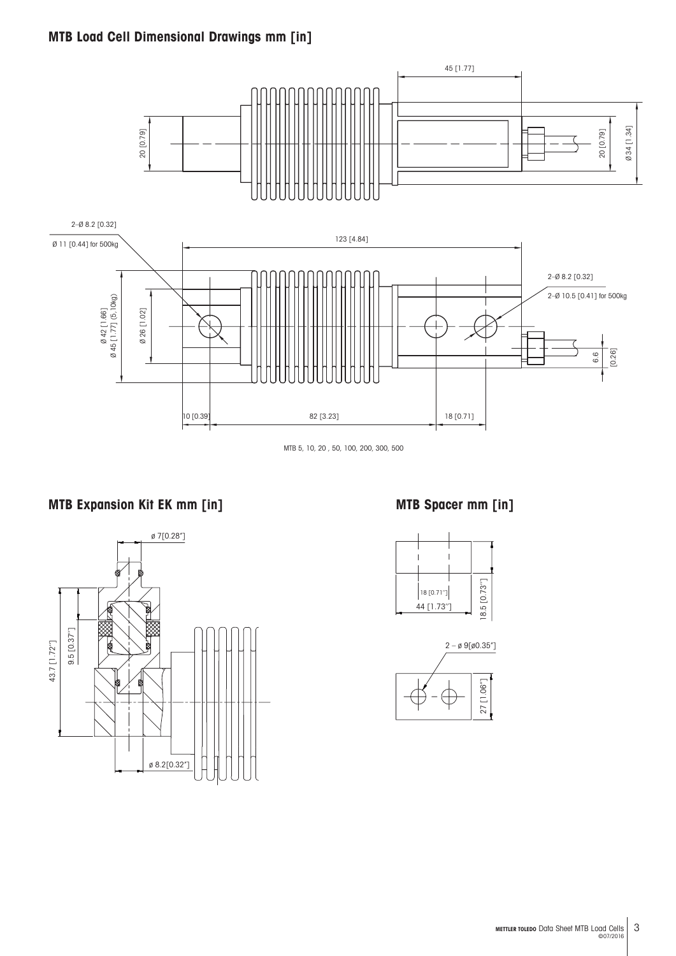#### **MTB Load Cell Dimensional Drawings mm [in]**



MTB 5, 10, 20 , 50, 100, 200, 300, 500

#### **MTB Expansion Kit EK mm [in] MTB Spacer mm [in]**





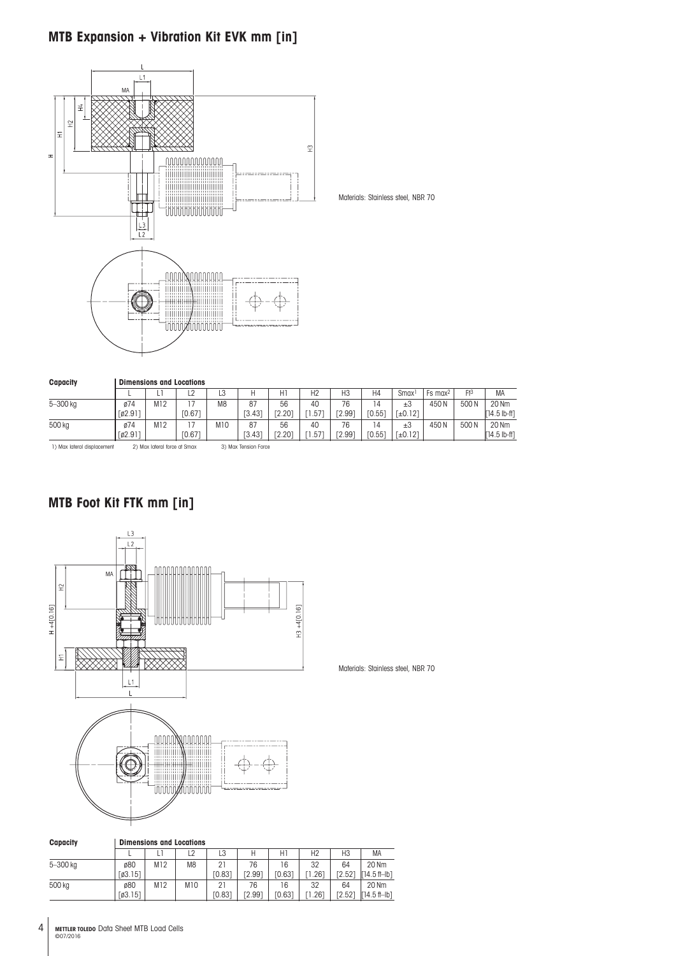#### **MTB Expansion + Vibration Kit EVK mm [in]**



Materials: Stainless steel, NBR 70

| <b>Capacity</b>             | <b>Dimensions and Locations</b> |                              |                 |                |                          |                          |                |              |              |                      |                       |       |                         |  |
|-----------------------------|---------------------------------|------------------------------|-----------------|----------------|--------------------------|--------------------------|----------------|--------------|--------------|----------------------|-----------------------|-------|-------------------------|--|
|                             |                                 |                              | $\sqrt{2}$<br>ᇆ | L3             | н                        | HI                       | H <sub>2</sub> | H3           | H4           | <b>Smax</b>          | $Fs$ max <sup>2</sup> | $F+3$ | <b>MA</b>               |  |
| 5-300 kg                    | ø74<br>[62.9]                   | M12                          | TO.67           | M <sub>8</sub> | 87<br>ГЗ.43 <sup>-</sup> | 56<br><sup>r</sup> 2.201 | 40<br>.57      | 76<br>F2.991 | 14<br>[0.55] | ±3<br>$[-6.12]$      | 450N                  | 500N  | 20 Nm<br>$[14.5 lb-ft]$ |  |
| 500 kg                      | ø74<br>[02.911]                 | M12                          | [0.67]          | M10            | 87<br>[3.43]             | 56<br>F2.201             | 40<br>.57      | 76<br>[2.99] | 14<br>[0.55] | $\pm 3$<br>$[-0.12]$ | 450N                  | 500N  | 20 Nm<br>$[14.5 lb-ft]$ |  |
| 1) Max lateral displacement |                                 | 2) Max lateral force at Smax |                 |                | 3) Max Tension Force     |                          |                |              |              |                      |                       |       |                         |  |

#### **MTB Foot Kit FTK mm [in]**



| <b>Capacity</b> |         | <b>Dimensions and Locations</b> |                |        |               |               |      |                    |                      |
|-----------------|---------|---------------------------------|----------------|--------|---------------|---------------|------|--------------------|----------------------|
|                 |         |                                 | L <sub>2</sub> | LЗ     | Н             | Η.            | H2   | H3                 | MA                   |
| 5-300 kg        | ø80     | M12                             | M8             | 21     | 76            | 16            | 32   | 64                 | 20 Nm                |
|                 | [03.15] |                                 |                | FO.831 | <b>72.991</b> | [0.63]        | .261 | F2.521             | $74.5$ fl-lb1        |
| 500 kg          | ø80     | M12                             | M10            | 21     | 76            | 6             | 32   | 64                 | 20 Nm                |
|                 | [63.15] |                                 |                | [0.83] | <b>[2.99]</b> | <b>FO.631</b> | .261 | F2.52 <sup>-</sup> | $\Gamma$ 14.5 ft-Ib1 |

Materials: Stainless steel, NBR 70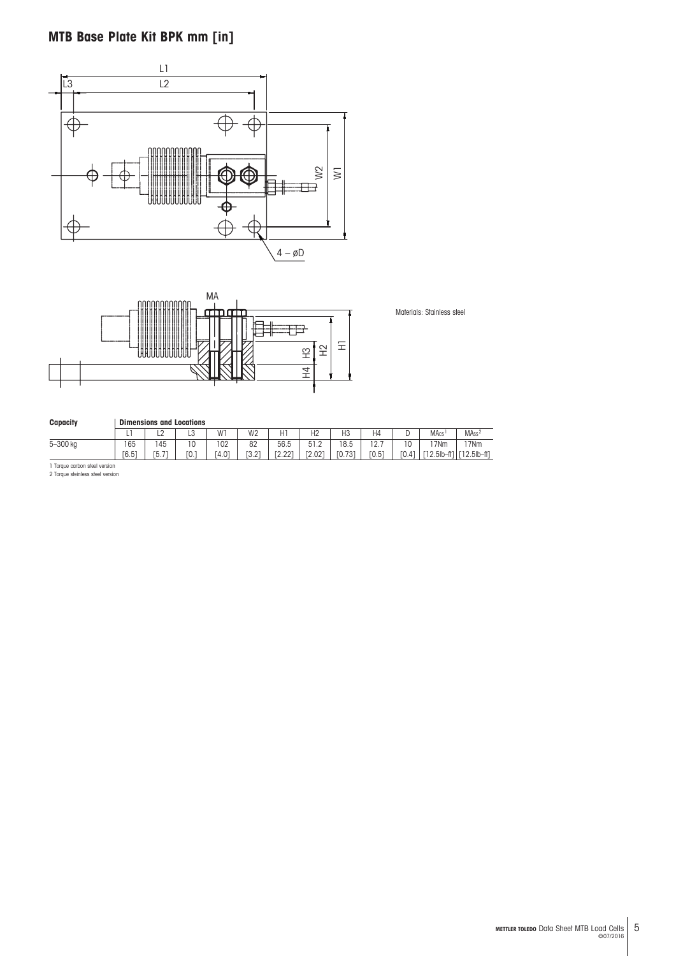### **MTB Base Plate Kit BPK mm [in]**





Materials: Stainless steel

| Capacity |              | <b>Dimensions and Locations</b> |              |              |                |                        |                |                |                           |             |                     |                               |
|----------|--------------|---------------------------------|--------------|--------------|----------------|------------------------|----------------|----------------|---------------------------|-------------|---------------------|-------------------------------|
|          |              | $\sim$<br>∽                     | $\sim$<br>∟ບ | W1           | W <sub>2</sub> | H1                     | H <sub>2</sub> | H <sub>3</sub> | H4                        |             | <b>MAcs</b>         | MA <sub>ss</sub> <sup>2</sup> |
| 5-300 kg | 165<br>[6.5] | 145<br>$-1$<br>Г5               | ٦Ο<br>ΓО.    | 102<br>[4.0] | 82<br>[3.2]    | 56.5<br>ro oot<br>4.44 | 51.2<br>[2.02] | 18.5<br>[0.73] | ຳ<br>-<br>$\sim$<br>[0.5] | 10<br>TO.41 | '7Nm<br>[12.5lb-ft] | '7Nm<br>12.5lb-ft1            |

1 Torque carbon steel version 2 Torque steinless steel version